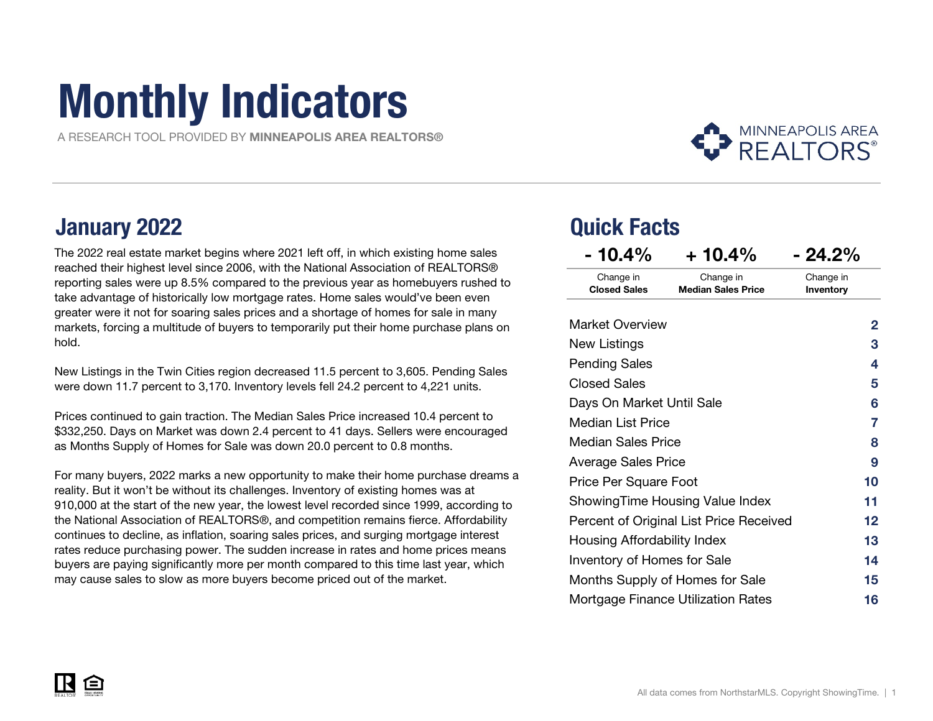# Monthly Indicators

A RESEARCH TOOL PROVIDED BY MINNEAPOLIS AREA REALTORS®



### January 2022 Quick Facts

The 2022 real estate market begins where 2021 left off, in which existing home sales reached their highest level since 2006, with the National Association of REALTORS® reporting sales were up 8.5% compared to the previous year as homebuyers rushed to take advantage of historically low mortgage rates. Home sales would've been even greater were it not for soaring sales prices and a shortage of homes for sale in many markets, forcing a multitude of buyers to temporarily put their home purchase plans on hold.

New Listings in the Twin Cities region decreased 11.5 percent to 3,605. Pending Sales were down 11.7 percent to 3,170. Inventory levels fell 24.2 percent to 4,221 units.

Prices continued to gain traction. The Median Sales Price increased 10.4 percent to \$332,250. Days on Market was down 2.4 percent to 41 days. Sellers were encouraged as Months Supply of Homes for Sale was down 20.0 percent to 0.8 months.

For many buyers, 2022 marks a new opportunity to make their home purchase dreams a reality. But it won't be without its challenges. Inventory of existing homes was at 910,000 at the start of the new year, the lowest level recorded since 1999, according to the National Association of REALTORS®, and competition remains fierce. Affordability continues to decline, as inflation, soaring sales prices, and surging mortgage interest rates reduce purchasing power. The sudden increase in rates and home prices means buyers are paying significantly more per month compared to this time last year, which may cause sales to slow as more buyers become priced out of the market.

| - 10.4%                            | $+10.4\%$                                 | - 24.2%                |
|------------------------------------|-------------------------------------------|------------------------|
| Change in<br><b>Closed Sales</b>   | Change in<br><b>Median Sales Price</b>    | Change in<br>Inventory |
| <b>Market Overview</b>             |                                           | 2                      |
| New Listings                       |                                           | 3                      |
| <b>Pending Sales</b>               |                                           | 4                      |
| <b>Closed Sales</b>                |                                           | 5                      |
| Days On Market Until Sale          | 6                                         |                        |
| Median List Price                  | 7                                         |                        |
| Median Sales Price                 |                                           | 8                      |
| Average Sales Price                |                                           | 9                      |
| Price Per Square Foot              |                                           | 10                     |
|                                    | ShowingTime Housing Value Index           | 11                     |
|                                    | Percent of Original List Price Received   | 12                     |
| Housing Affordability Index        | 13                                        |                        |
| <b>Inventory of Homes for Sale</b> |                                           | 14                     |
|                                    | Months Supply of Homes for Sale           | 15                     |
|                                    | <b>Mortgage Finance Utilization Rates</b> | 16                     |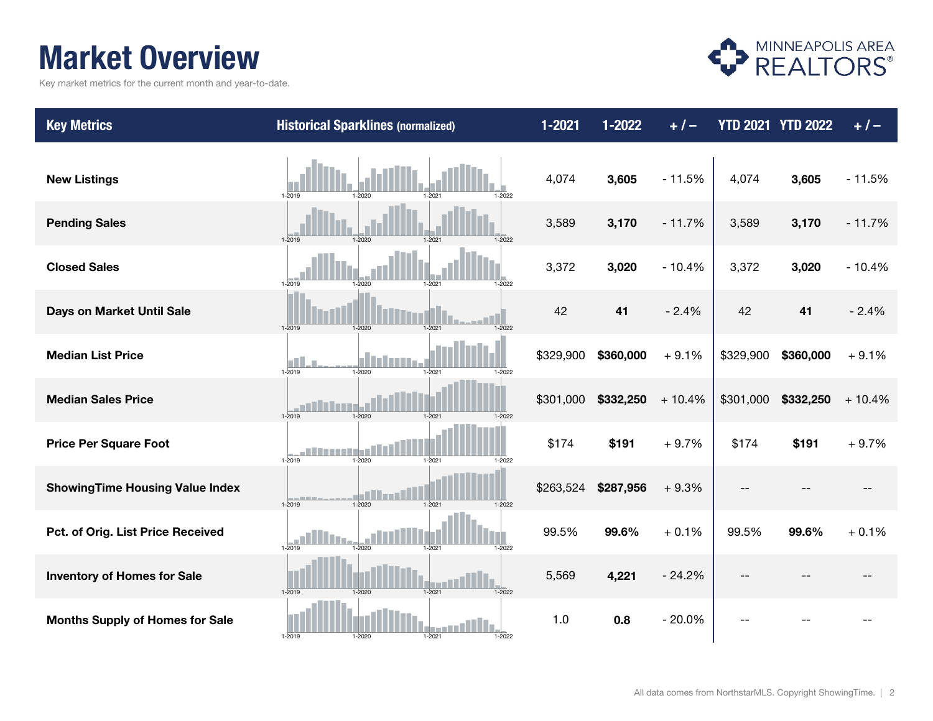### Market Overview

Key market metrics for the current month and year-to-date.



| <b>Key Metrics</b>                     | <b>Historical Sparklines (normalized)</b>                                        | 1-2021    | $1 - 2022$ | $+ 1 -$  |           | <b>YTD 2021 YTD 2022</b> | $+/-$    |
|----------------------------------------|----------------------------------------------------------------------------------|-----------|------------|----------|-----------|--------------------------|----------|
| <b>New Listings</b>                    | 1-2019<br>$1 - 2020$<br>1-2021<br>1-2022                                         | 4,074     | 3,605      | $-11.5%$ | 4,074     | 3,605                    | $-11.5%$ |
| <b>Pending Sales</b>                   | $1 - 2019$<br>$1 - 2020$<br>$1 - 2021$<br>$1 - 2022$                             | 3,589     | 3,170      | $-11.7%$ | 3,589     | 3,170                    | $-11.7%$ |
| <b>Closed Sales</b>                    | $1 - 2019$<br>$1 - 2020$<br>1-2021<br>1-2022                                     | 3,372     | 3,020      | $-10.4%$ | 3,372     | 3,020                    | $-10.4%$ |
| Days on Market Until Sale              | 1-2019<br>1-2020<br>1-2021<br>1-2022                                             | 42        | 41         | $-2.4%$  | 42        | 41                       | $-2.4%$  |
| <b>Median List Price</b>               | $1 - 2021$<br>1-2019<br>1-2020<br>1-2022                                         | \$329,900 | \$360,000  | $+9.1%$  | \$329,900 | \$360,000                | $+9.1%$  |
| <b>Median Sales Price</b>              | 1-2020<br>1-2019<br>$1 - 2021$<br>1-2022                                         | \$301,000 | \$332,250  | $+10.4%$ | \$301,000 | \$332,250                | $+10.4%$ |
| <b>Price Per Square Foot</b>           | 1-2019<br>$1 - 2020$<br>1-2021<br>1-2022                                         | \$174     | \$191      | $+9.7%$  | \$174     | \$191                    | $+9.7%$  |
| <b>ShowingTime Housing Value Index</b> | <b>Contract Contract</b><br>$1 - 2019$<br>$1 - 2020$<br>$1 - 2021$<br>$1 - 2022$ | \$263,524 | \$287,956  | $+9.3%$  |           |                          |          |
| Pct. of Orig. List Price Received      | 1-2019<br>1-2020<br>1-2021<br>1-2022                                             | 99.5%     | 99.6%      | $+0.1%$  | 99.5%     | 99.6%                    | $+0.1%$  |
| <b>Inventory of Homes for Sale</b>     | $1-2021$<br>$1 - 2022$<br>$1 - 2019$<br>$1 - 2020$                               | 5,569     | 4,221      | $-24.2%$ |           |                          |          |
| <b>Months Supply of Homes for Sale</b> | $1 - 2022$<br>1-2019<br>1-2020<br>1-2021                                         | 1.0       | 0.8        | $-20.0%$ |           |                          |          |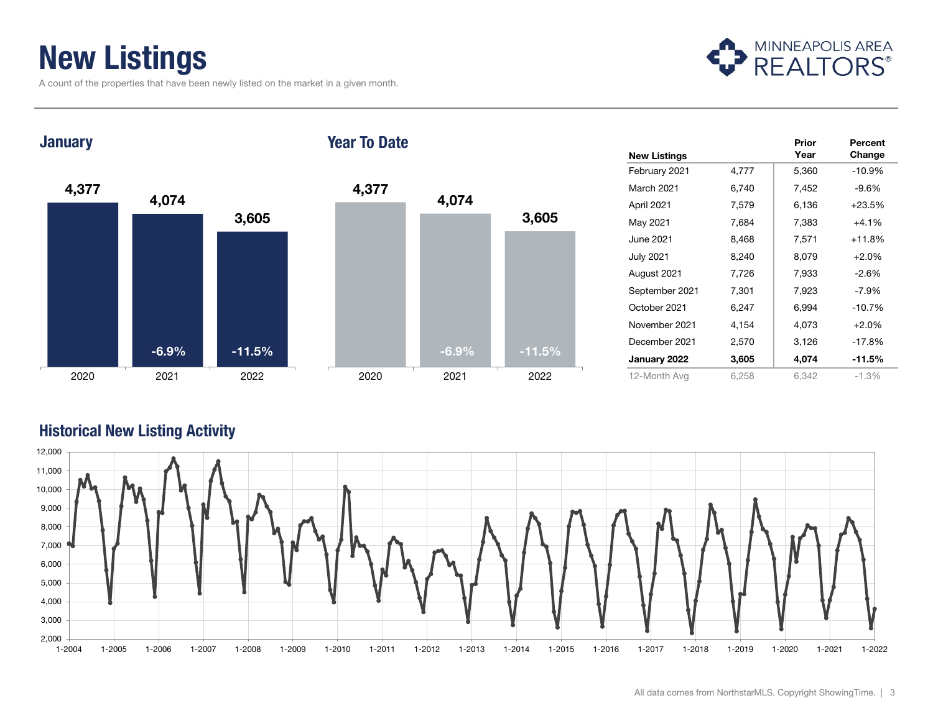### New Listings

A count of the properties that have been newly listed on the market in a given month.



**January** 

#### Year To Date



|                     |       | Prior | Percent  |
|---------------------|-------|-------|----------|
| <b>New Listings</b> |       | Year  | Change   |
| February 2021       | 4,777 | 5,360 | $-10.9%$ |
| March 2021          | 6,740 | 7,452 | $-9.6%$  |
| April 2021          | 7,579 | 6,136 | $+23.5%$ |
| May 2021            | 7,684 | 7,383 | $+4.1%$  |
| June 2021           | 8,468 | 7,571 | $+11.8%$ |
| <b>July 2021</b>    | 8,240 | 8,079 | $+2.0%$  |
| August 2021         | 7,726 | 7,933 | $-2.6%$  |
| September 2021      | 7,301 | 7,923 | $-7.9%$  |
| October 2021        | 6,247 | 6,994 | $-10.7%$ |
| November 2021       | 4,154 | 4,073 | $+2.0%$  |
| December 2021       | 2,570 | 3,126 | -17.8%   |
| January 2022        | 3,605 | 4,074 | $-11.5%$ |
| 12-Month Avg        | 6,258 | 6,342 | $-1.3%$  |

#### Historical New Listing Activity

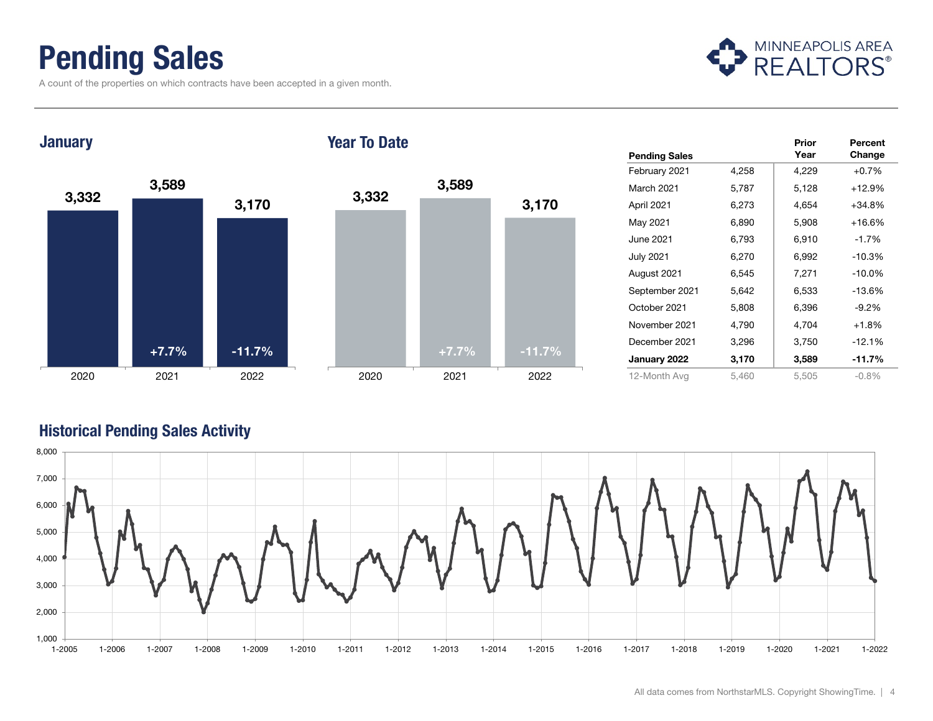### Pending Sales

A count of the properties on which contracts have been accepted in a given month.



**January** 

#### Year To Date



|                      |       | Prior | Percent  |
|----------------------|-------|-------|----------|
| <b>Pending Sales</b> |       | Year  | Change   |
| February 2021        | 4,258 | 4,229 | $+0.7%$  |
| March 2021           | 5,787 | 5,128 | $+12.9%$ |
| April 2021           | 6,273 | 4,654 | $+34.8%$ |
| May 2021             | 6,890 | 5,908 | $+16.6%$ |
| June 2021            | 6,793 | 6,910 | $-1.7%$  |
| <b>July 2021</b>     | 6,270 | 6,992 | $-10.3%$ |
| August 2021          | 6,545 | 7,271 | $-10.0%$ |
| September 2021       | 5,642 | 6,533 | $-13.6%$ |
| October 2021         | 5,808 | 6,396 | $-9.2%$  |
| November 2021        | 4,790 | 4,704 | $+1.8%$  |
| December 2021        | 3,296 | 3,750 | $-12.1%$ |
| January 2022         | 3,170 | 3,589 | $-11.7%$ |
| 12-Month Avg         | 5,460 | 5,505 | $-0.8%$  |

#### Historical Pending Sales Activity

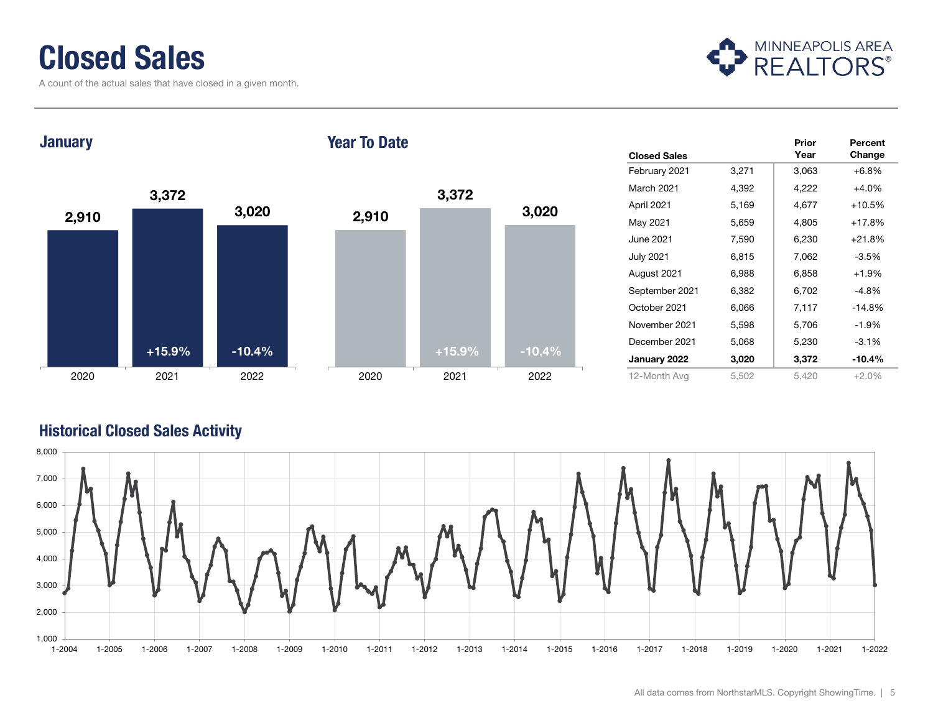### Closed Sales

A count of the actual sales that have closed in a given month.



2,910 3,372 3,020 **January** 





|                     |       | Prior | Percent  |
|---------------------|-------|-------|----------|
| <b>Closed Sales</b> |       | Year  | Change   |
| February 2021       | 3,271 | 3,063 | $+6.8%$  |
| March 2021          | 4,392 | 4,222 | $+4.0%$  |
| April 2021          | 5,169 | 4,677 | $+10.5%$ |
| May 2021            | 5,659 | 4,805 | $+17.8%$ |
| June 2021           | 7,590 | 6,230 | $+21.8%$ |
| <b>July 2021</b>    | 6,815 | 7,062 | $-3.5%$  |
| August 2021         | 6,988 | 6,858 | $+1.9%$  |
| September 2021      | 6,382 | 6,702 | -4.8%    |
| October 2021        | 6,066 | 7,117 | $-14.8%$ |
| November 2021       | 5,598 | 5,706 | $-1.9%$  |
| December 2021       | 5,068 | 5,230 | $-3.1%$  |
| January 2022        | 3,020 | 3,372 | $-10.4%$ |
| 12-Month Avg        | 5,502 | 5,420 | $+2.0%$  |

#### Historical Closed Sales Activity

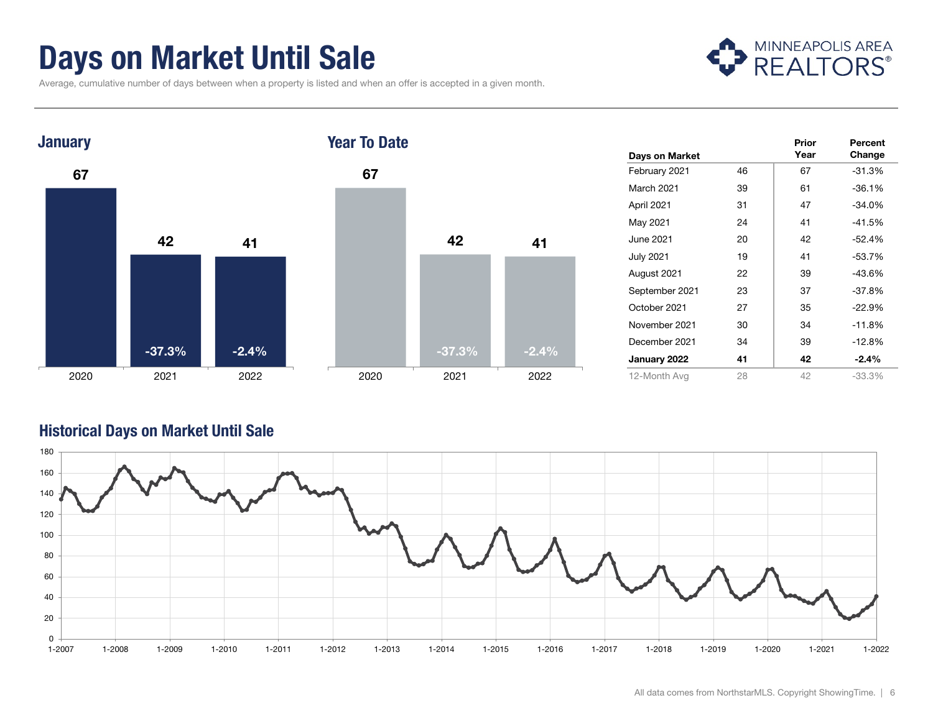### Days on Market Until Sale

MINNEAPOLIS AREA

Average, cumulative number of days between when a property is listed and when an offer is accepted in a given month.



|                  |    | Prior | Percent  |
|------------------|----|-------|----------|
| Days on Market   |    | Year  | Change   |
| February 2021    | 46 | 67    | $-31.3%$ |
| March 2021       | 39 | 61    | $-36.1%$ |
| April 2021       | 31 | 47    | $-34.0%$ |
| May 2021         | 24 | 41    | $-41.5%$ |
| June 2021        | 20 | 42    | $-52.4%$ |
| <b>July 2021</b> | 19 | 41    | $-53.7%$ |
| August 2021      | 22 | 39    | $-43.6%$ |
| September 2021   | 23 | 37    | $-37.8%$ |
| October 2021     | 27 | 35    | $-22.9%$ |
| November 2021    | 30 | 34    | $-11.8%$ |
| December 2021    | 34 | 39    | $-12.8%$ |
| January 2022     | 41 | 42    | $-2.4%$  |
| 12-Month Avg     | 28 | 42    | $-33.3%$ |

#### Historical Days on Market Until Sale

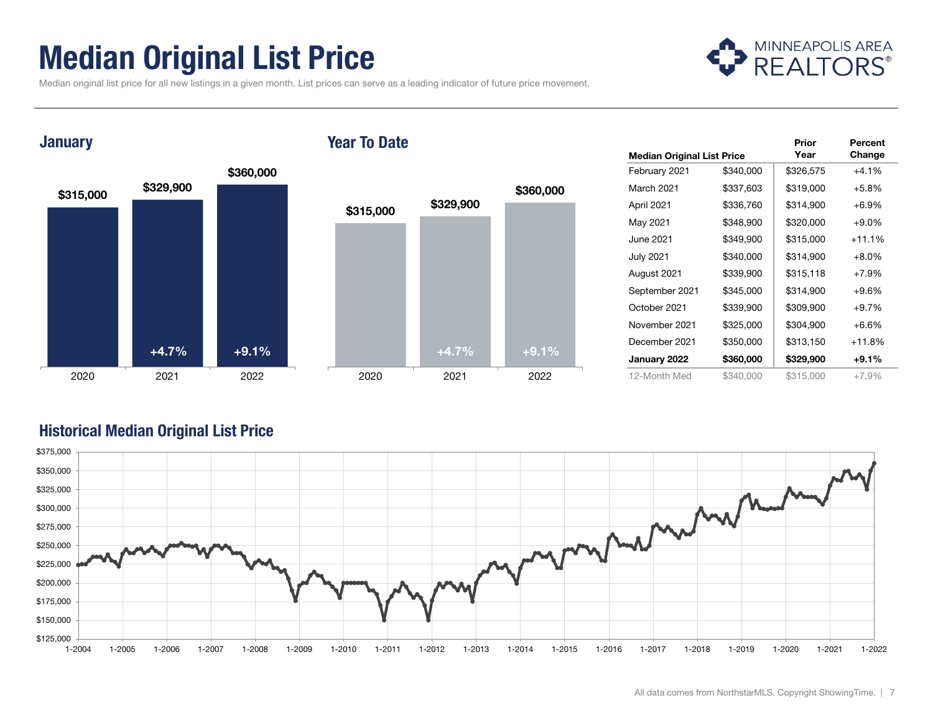### Median Original List Price



Median original list price for all new listings in a given month. List prices can serve as a leading indicator of future price movement.

#### **January**

#### Year To Date



|                                   |           | Prior     | Percent  |
|-----------------------------------|-----------|-----------|----------|
| <b>Median Original List Price</b> |           | Year      | Change   |
| February 2021                     | \$340,000 | \$326,575 | $+4.1%$  |
| March 2021                        | \$337,603 | \$319,000 | $+5.8%$  |
| April 2021                        | \$336,760 | \$314,900 | $+6.9%$  |
| May 2021                          | \$348,900 | \$320,000 | $+9.0\%$ |
| June 2021                         | \$349,900 | \$315,000 | $+11.1%$ |
| July 2021                         | \$340,000 | \$314,900 | $+8.0\%$ |
| August 2021                       | \$339,900 | \$315,118 | $+7.9%$  |
| September 2021                    | \$345,000 | \$314,900 | $+9.6%$  |
| October 2021                      | \$339,900 | \$309,900 | $+9.7%$  |
| November 2021                     | \$325,000 | \$304,900 | $+6.6%$  |
| December 2021                     | \$350,000 | \$313,150 | $+11.8%$ |
| January 2022                      | \$360,000 | \$329,900 | $+9.1%$  |
| 12-Month Med                      | \$340,000 | \$315,000 | $+7.9%$  |

#### Historical Median Original List Price

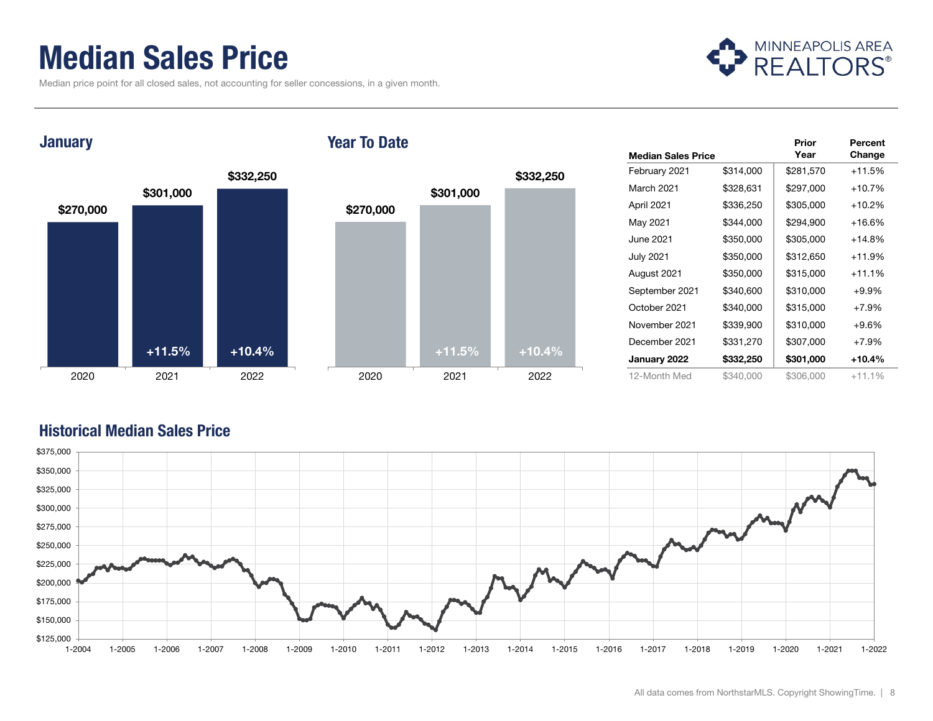### Median Sales Price

Median price point for all closed sales, not accounting for seller concessions, in a given month.



**January** 





|                           |           | Prior     | Percent  |
|---------------------------|-----------|-----------|----------|
| <b>Median Sales Price</b> |           | Year      | Change   |
| February 2021             | \$314,000 | \$281,570 | $+11.5%$ |
| March 2021                | \$328,631 | \$297,000 | $+10.7%$ |
| April 2021                | \$336,250 | \$305,000 | $+10.2%$ |
| May 2021                  | \$344,000 | \$294,900 | $+16.6%$ |
| June 2021                 | \$350,000 | \$305,000 | $+14.8%$ |
| <b>July 2021</b>          | \$350,000 | \$312,650 | $+11.9%$ |
| August 2021               | \$350,000 | \$315,000 | $+11.1%$ |
| September 2021            | \$340,600 | \$310,000 | $+9.9%$  |
| October 2021              | \$340,000 | \$315,000 | $+7.9%$  |
| November 2021             | \$339,900 | \$310,000 | $+9.6%$  |
| December 2021             | \$331,270 | \$307,000 | $+7.9%$  |
| January 2022              | \$332,250 | \$301,000 | +10.4%   |
| 12-Month Med              | \$340,000 | \$306,000 | $+11.1%$ |



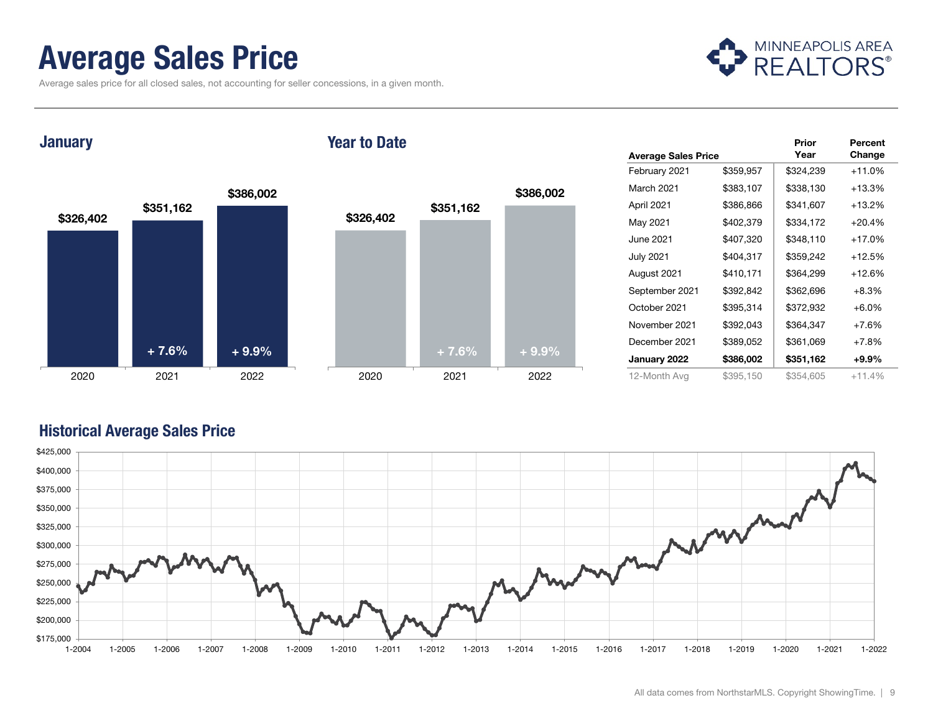### Average Sales Price

Average sales price for all closed sales, not accounting for seller concessions, in a given month.



**January** 

#### Year to Date



|                            |           | Prior     | Percent  |
|----------------------------|-----------|-----------|----------|
| <b>Average Sales Price</b> |           | Year      | Change   |
| February 2021              | \$359,957 | \$324,239 | $+11.0%$ |
| March 2021                 | \$383,107 | \$338,130 | $+13.3%$ |
| April 2021                 | \$386,866 | \$341,607 | $+13.2%$ |
| May 2021                   | \$402,379 | \$334,172 | $+20.4%$ |
| June 2021                  | \$407,320 | \$348,110 | $+17.0%$ |
| <b>July 2021</b>           | \$404,317 | \$359,242 | $+12.5%$ |
| August 2021                | \$410,171 | \$364,299 | $+12.6%$ |
| September 2021             | \$392,842 | \$362,696 | $+8.3%$  |
| October 2021               | \$395,314 | \$372,932 | $+6.0\%$ |
| November 2021              | \$392,043 | \$364,347 | $+7.6%$  |
| December 2021              | \$389,052 | \$361,069 | $+7.8%$  |
| January 2022               | \$386,002 | \$351,162 | $+9.9\%$ |
| 12-Month Avg               | \$395,150 | \$354,605 | $+11.4%$ |

#### Historical Average Sales Price

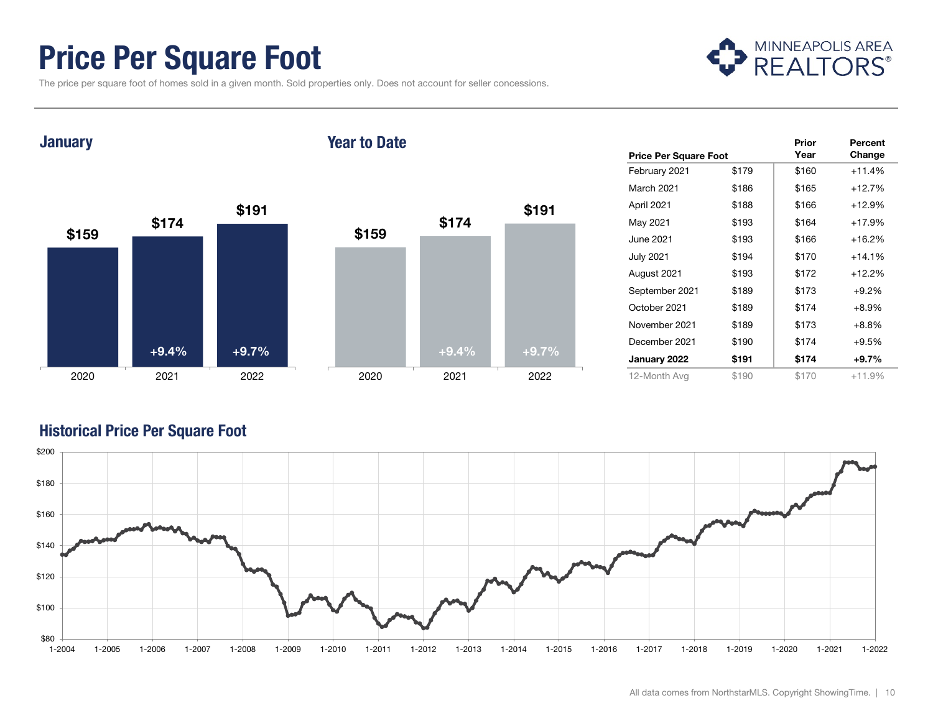### Price Per Square Foot

The price per square foot of homes sold in a given month. Sold properties only. Does not account for seller concessions.



**January** 

#### Year to Date



| <b>Price Per Square Foot</b> |       | Prior<br>Year | Percent<br>Change |
|------------------------------|-------|---------------|-------------------|
| February 2021                | \$179 | \$160         | $+11.4%$          |
| March 2021                   | \$186 | \$165         | $+12.7%$          |
| April 2021                   | \$188 | \$166         | $+12.9%$          |
| May 2021                     | \$193 | \$164         | $+17.9%$          |
| June 2021                    | \$193 | \$166         | $+16.2%$          |
| <b>July 2021</b>             | \$194 | \$170         | $+14.1%$          |
| August 2021                  | \$193 | \$172         | $+12.2%$          |
| September 2021               | \$189 | \$173         | $+9.2%$           |
| October 2021                 | \$189 | \$174         | $+8.9%$           |
| November 2021                | \$189 | \$173         | $+8.8%$           |
| December 2021                | \$190 | \$174         | $+9.5%$           |
| January 2022                 | \$191 | \$174         | +9.7%             |
| 12-Month Avg                 | \$190 | \$170         | $+11.9%$          |

#### Historical Price Per Square Foot

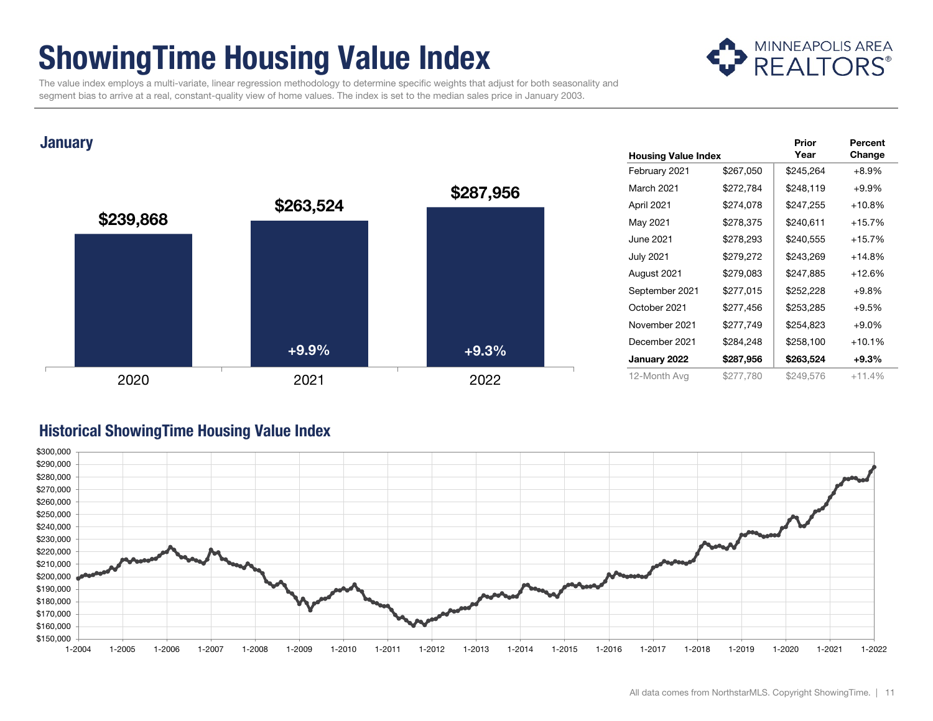### ShowingTime Housing Value Index



 The value index employs a multi-variate, linear regression methodology to determine specific weights that adjust for both seasonality and segment bias to arrive at a real, constant-quality view of home values. The index is set to the median sales price in January 2003.

#### **January**



|                            |           | Prior     | Percent  |
|----------------------------|-----------|-----------|----------|
| <b>Housing Value Index</b> |           | Year      | Change   |
| February 2021              | \$267,050 | \$245,264 | $+8.9%$  |
| March 2021                 | \$272,784 | \$248,119 | $+9.9%$  |
| April 2021                 | \$274,078 | \$247,255 | $+10.8%$ |
| May 2021                   | \$278,375 | \$240,611 | $+15.7%$ |
| <b>June 2021</b>           | \$278,293 | \$240,555 | $+15.7%$ |
| <b>July 2021</b>           | \$279,272 | \$243,269 | $+14.8%$ |
| August 2021                | \$279,083 | \$247,885 | $+12.6%$ |
| September 2021             | \$277,015 | \$252,228 | $+9.8%$  |
| October 2021               | \$277,456 | \$253,285 | $+9.5%$  |
| November 2021              | \$277,749 | \$254,823 | $+9.0%$  |
| December 2021              | \$284,248 | \$258,100 | $+10.1%$ |
| January 2022               | \$287,956 | \$263,524 | $+9.3\%$ |
| 12-Month Avg               | \$277,780 | \$249,576 | $+11.4%$ |

#### Historical ShowingTime Housing Value Index

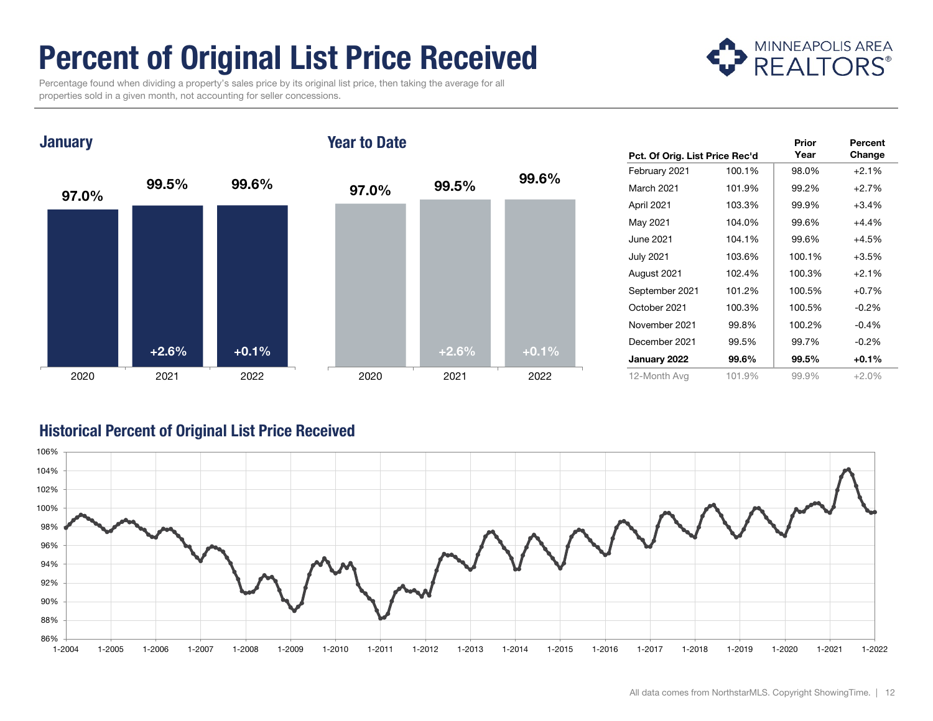## Percent of Original List Price Received

 Percentage found when dividing a property's sales price by its original list price, then taking the average for all properties sold in a given month, not accounting for seller concessions.



**January** 

#### Year to Date



|                                |        | Prior  | Percent |
|--------------------------------|--------|--------|---------|
| Pct. Of Orig. List Price Rec'd |        | Year   | Change  |
| February 2021                  | 100.1% | 98.0%  | $+2.1%$ |
| March 2021                     | 101.9% | 99.2%  | $+2.7%$ |
| April 2021                     | 103.3% | 99.9%  | $+3.4%$ |
| May 2021                       | 104.0% | 99.6%  | $+4.4%$ |
| June 2021                      | 104.1% | 99.6%  | $+4.5%$ |
| <b>July 2021</b>               | 103.6% | 100.1% | $+3.5%$ |
| August 2021                    | 102.4% | 100.3% | $+2.1%$ |
| September 2021                 | 101.2% | 100.5% | $+0.7%$ |
| October 2021                   | 100.3% | 100.5% | $-0.2%$ |
| November 2021                  | 99.8%  | 100.2% | $-0.4%$ |
| December 2021                  | 99.5%  | 99.7%  | $-0.2%$ |
| January 2022                   | 99.6%  | 99.5%  | $+0.1%$ |
| 12-Month Avg                   | 101.9% | 99.9%  | $+2.0%$ |

#### Historical Percent of Original List Price Received

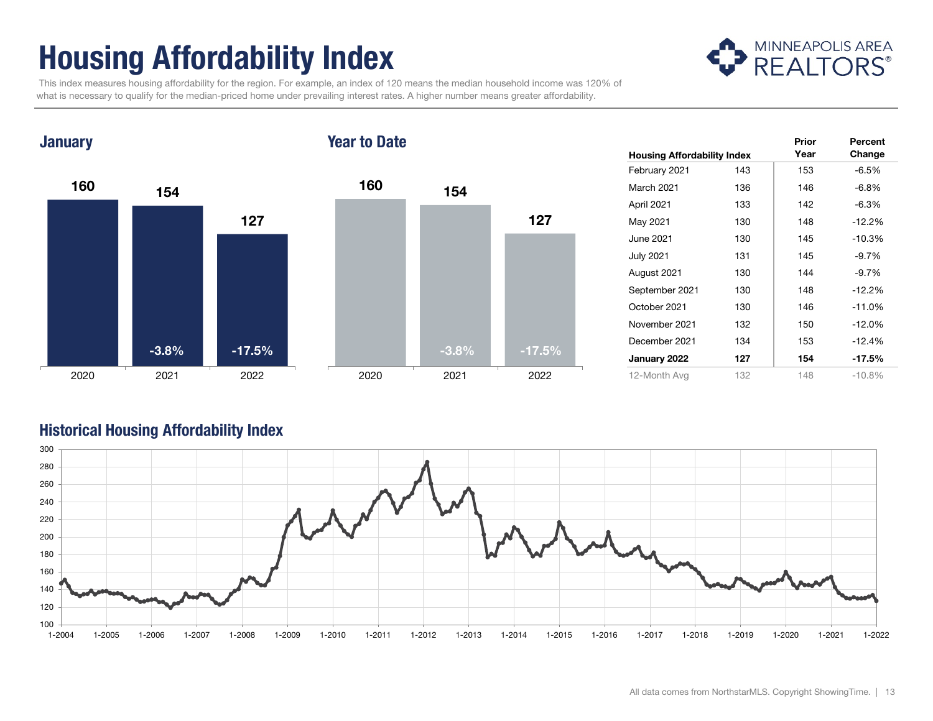## Housing Affordability Index



 This index measures housing affordability for the region. For example, an index of 120 means the median household income was 120% of what is necessary to qualify for the median-priced home under prevailing interest rates. A higher number means greater affordability.

#### **January**

#### Year to Date



|                                    |     | Prior | Percent  |
|------------------------------------|-----|-------|----------|
| <b>Housing Affordability Index</b> |     | Year  | Change   |
| February 2021                      | 143 | 153   | $-6.5%$  |
| March 2021                         | 136 | 146   | $-6.8%$  |
| April 2021                         | 133 | 142   | $-6.3%$  |
| May 2021                           | 130 | 148   | $-12.2%$ |
| June 2021                          | 130 | 145   | $-10.3%$ |
| <b>July 2021</b>                   | 131 | 145   | $-9.7%$  |
| August 2021                        | 130 | 144   | $-9.7%$  |
| September 2021                     | 130 | 148   | $-12.2%$ |
| October 2021                       | 130 | 146   | $-11.0%$ |
| November 2021                      | 132 | 150   | $-12.0%$ |
| December 2021                      | 134 | 153   | $-12.4%$ |
| January 2022                       | 127 | 154   | -17.5%   |
| 12-Month Avg                       | 132 | 148   | $-10.8%$ |

#### Historical Housing Affordability Index

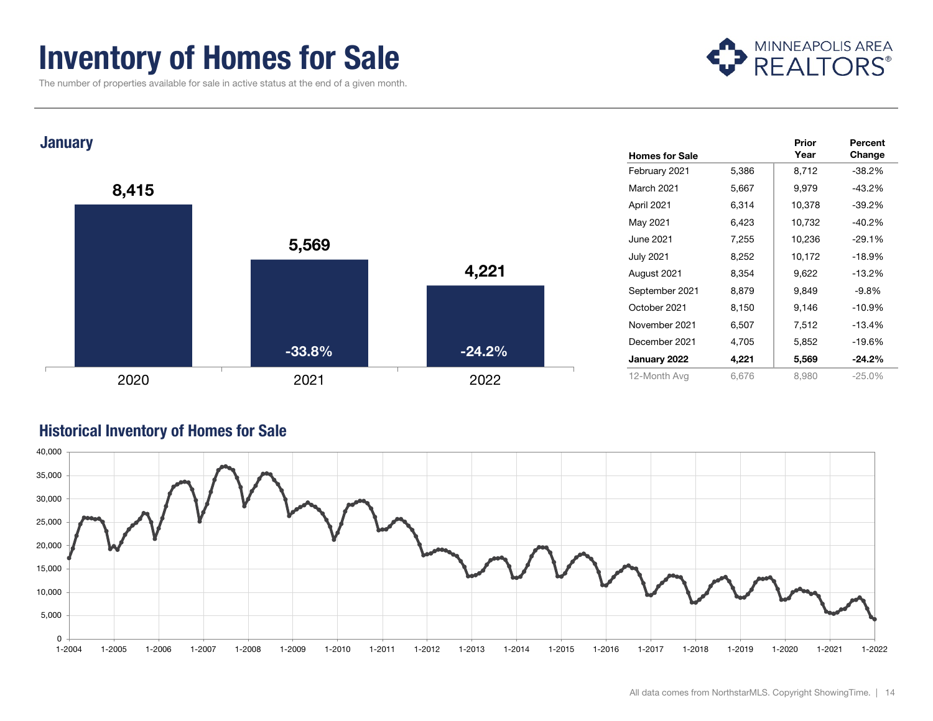### Inventory of Homes for Sale

The number of properties available for sale in active status at the end of a given month.







#### Historical Inventory of Homes for Sale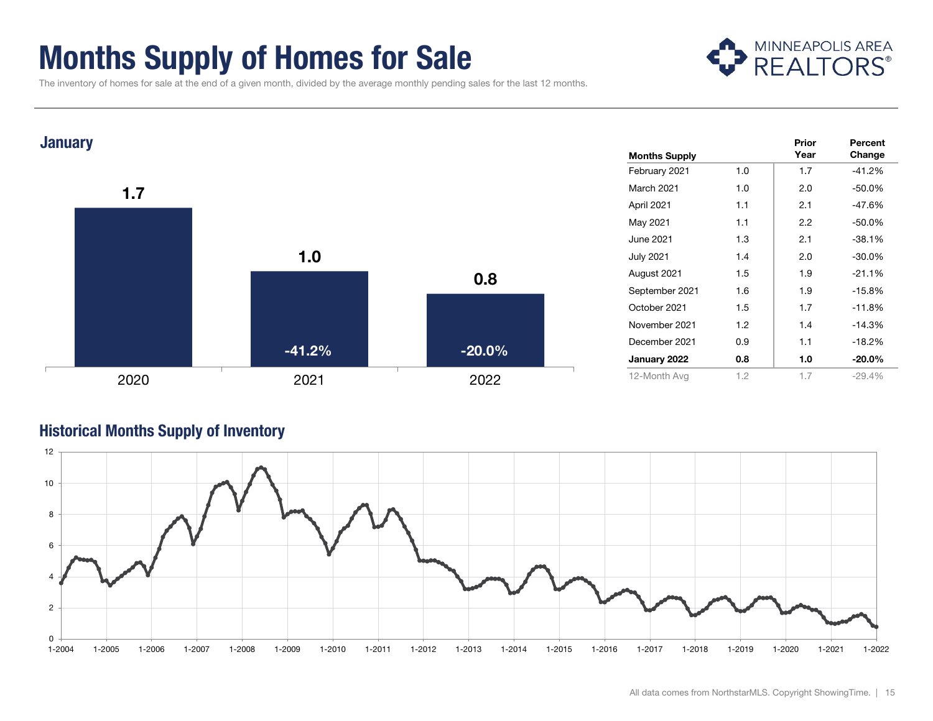### Months Supply of Homes for Sale

MINNEAPOLIS AREA

The inventory of homes for sale at the end of a given month, divided by the average monthly pending sales for the last 12 months.



#### Historical Months Supply of Inventory